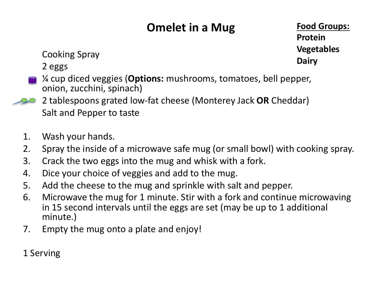## **Omelet in a Mug**

**Food Groups: Protein Vegetables Dairy**

Cooking Spray

2 eggs

- ¼ cup diced veggies (**Options:** mushrooms, tomatoes, bell pepper, onion, zucchini, spinach)
- 2 tablespoons grated low-fat cheese (Monterey Jack **OR** Cheddar) Salt and Pepper to taste
- 1. Wash your hands.
- 2. Spray the inside of a microwave safe mug (or small bowl) with cooking spray.
- 3. Crack the two eggs into the mug and whisk with a fork.
- 4. Dice your choice of veggies and add to the mug.
- 5. Add the cheese to the mug and sprinkle with salt and pepper.
- 6. Microwave the mug for 1 minute. Stir with a fork and continue microwaving in 15 second intervals until the eggs are set (may be up to 1 additional minute.)
- 7. Empty the mug onto a plate and enjoy!

1 Serving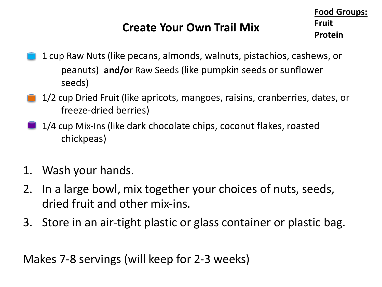## **Create Your Own Trail Mix**

**Food Groups: Fruit Protein**

- 1 cup Raw Nuts (like pecans, almonds, walnuts, pistachios, cashews, or peanuts) **and/o**r Raw Seeds (like pumpkin seeds or sunflower seeds)
- 1/2 cup Dried Fruit (like apricots, mangoes, raisins, cranberries, dates, or freeze-dried berries)
- 1/4 cup Mix-Ins (like dark chocolate chips, coconut flakes, roasted chickpeas)
- 1. Wash your hands.
- 2. In a large bowl, mix together your choices of nuts, seeds, dried fruit and other mix-ins.
- 3. Store in an air-tight plastic or glass container or plastic bag.

Makes 7-8 servings (will keep for 2-3 weeks)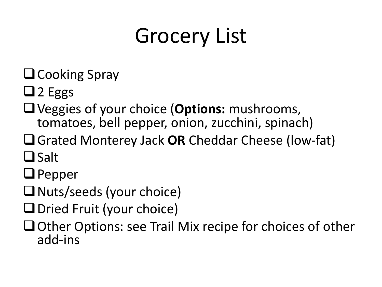## Grocery List

- $\Box$ Cooking Spray
- $\Box$  2 Eggs
- qVeggies of your choice (**Options:** mushrooms, tomatoes, bell pepper, onion, zucchini, spinach)
- qGrated Monterey Jack **OR** Cheddar Cheese (low-fat)  $\Box$  Salt
- $\Box$  Pepper
- $\Box$  Nuts/seeds (your choice)
- $\Box$ Dried Fruit (your choice)
- $\Box$  Other Options: see Trail Mix recipe for choices of other add-ins